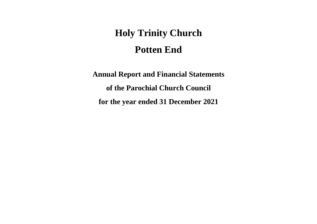# **Holy Trinity Church Potten End**

**Annual Report and Financial Statements of the Parochial Church Council for the year ended 31 December 2021**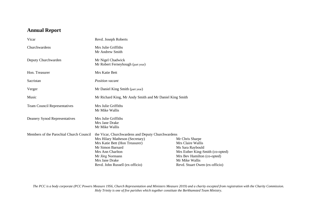## **Annual Report**

| Vicar                                   | Revd. Joseph Roberts                                                                                                                                                                                                                   |                                                                                                                                                                                 |  |  |  |  |  |
|-----------------------------------------|----------------------------------------------------------------------------------------------------------------------------------------------------------------------------------------------------------------------------------------|---------------------------------------------------------------------------------------------------------------------------------------------------------------------------------|--|--|--|--|--|
| Churchwardens                           | Mrs Julie Griffiths<br>Mr Andrew Smith                                                                                                                                                                                                 |                                                                                                                                                                                 |  |  |  |  |  |
| Deputy Churchwarden                     | Mr Nigel Chadwick<br>Mr Robert Ferneyhough (part year)                                                                                                                                                                                 |                                                                                                                                                                                 |  |  |  |  |  |
| Hon. Treasurer                          | Mrs Katie Bett                                                                                                                                                                                                                         |                                                                                                                                                                                 |  |  |  |  |  |
| Sacristan                               | <b>Position</b> vacant                                                                                                                                                                                                                 |                                                                                                                                                                                 |  |  |  |  |  |
| Verger                                  | Mr Daniel King Smith (part year)                                                                                                                                                                                                       |                                                                                                                                                                                 |  |  |  |  |  |
| Music                                   | Mr Richard King, Mr Andy Smith and Mr Daniel King Smith                                                                                                                                                                                |                                                                                                                                                                                 |  |  |  |  |  |
| <b>Team Council Representatives</b>     | Mrs Julie Griffiths<br>Mr Mike Wallis                                                                                                                                                                                                  |                                                                                                                                                                                 |  |  |  |  |  |
| Deanery Synod Representatives           | Mrs Julie Griffiths<br>Mrs Jane Drake<br>Mr Mike Wallis                                                                                                                                                                                |                                                                                                                                                                                 |  |  |  |  |  |
| Members of the Parochial Church Council | the Vicar, Churchwardens and Deputy Churchwardens<br>Mrs Hilary Matheson (Secretary)<br>Mrs Katie Bett (Hon Treasurer)<br>Mr Simon Barnard<br>Mrs Ann Charlton<br>Mr Jörg Normann<br>Mrs Jane Drake<br>Revd. John Russell (ex-officio) | Mr Chris Sharpe<br>Mrs Claire Wallis<br>Ms Sara Raybould<br>Mrs Esther King-Smith (co-opted)<br>Mrs Bev Hamilton (co-opted)<br>Mr Mike Wallis<br>Revd. Stuart Owen (ex-officio) |  |  |  |  |  |

*The PCC is a body corporate (PCC Powers Measure 1956, Church Representation and Ministers Measure 2019) and a charity excepted from registration with the Charity Commission. Holy Trinity is one of five parishes which together constitute the Berkhamsted Team Ministry.*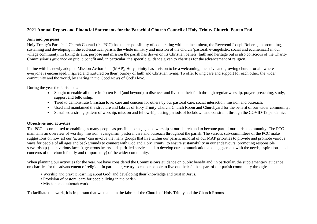## **2021 Annual Report and Financial Statements for the Parochial Church Council of Holy Trinity Church, Potten End**

## **Aim and purposes**

Holy Trinity's Parochial Church Council (the PCC) has the responsibility of cooperating with the incumbent, the Reverend Joseph Roberts, in promoting, sustaining and developing in the ecclesiastical parish, the whole ministry and mission of the church (pastoral, evangelistic, social and ecumenical) in our village community. In fixing its aim, purpose and mission the parish has drawn on its Christian beliefs, faith and heritage but is also conscious of the Charity Commission's guidance on public benefit and, in particular, the specific guidance given to charities for the advancement of religion.

In line with its newly adopted Mission Action Plan (MAP), Holy Trinity has a vision to be a welcoming, inclusive and growing church for all, where everyone is encouraged, inspired and nurtured on their journey of faith and Christian living. To offer loving care and support for each other, the wider community and the world, by sharing in the Good News of God's love.

During the year the Parish has:

- Sought to enable all those in Potten End (and beyond) to discover and live out their faith through regular worship, prayer, preaching, study, support and fellowship.
- Tried to demonstrate Christian love, care and concern for others by our pastoral care, social interaction, mission and outreach.
- Used and maintained the structure and fabrics of Holy Trinity Church, Church Room and Churchyard for the benefit of our wider community.
- Sustained a strong pattern of worship, mission and fellowship during periods of lockdown and constraint through the COVID-19 pandemic.

## **Objectives and activities**

The PCC is committed to enabling as many people as possible to engage and worship at our church and to become part of our parish community. The PCC maintains an overview of worship, mission, evangelism, pastoral care and outreach throughout the parish. The various sub-committees of the PCC make suggestions on how all our 'actions' can involve the many groups that live within our parish, mindful of our MAP priorities to provide and promote various ways for people of all ages and backgrounds to connect with God and Holy Trinity; to ensure sustainability in our endeavours, promoting responsible stewardship (in its various facets), generous hearts and spirit-led service; and to develop our communication and engagement with the needs, aspirations, and concerns of our church family and (importantly) of the wider community.

When planning our activities for the year, we have considered the Commission's guidance on public benefit and, in particular, the supplementary guidance on charities for the advancement of religion. In particular, we try to enable people to live out their faith as part of our parish community through:

- Worship and prayer; learning about God; and developing their knowledge and trust in Jesus.
- Provision of pastoral care for people living in the parish.
- Mission and outreach work.

To facilitate this work, it is important that we maintain the fabric of the Church of Holy Trinity and the Church Rooms.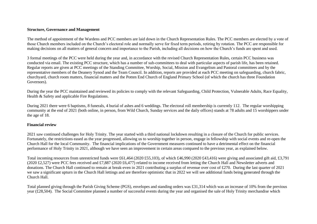## **Structure, Governance and Management**

The method of appointment of the Wardens and PCC members are laid down in the Church Representation Rules. The PCC members are elected by a vote of those Church members included on the Church's electoral role and normally serve for fixed term periods, retiring by rotation. The PCC are responsible for making decisions on all matters of general concern and importance to the Parish, including all decisions on how the Church's funds are spent and used.

3 formal meetings of the PCC were held during the year and, in accordance with the revised Church Representation Rules, certain PCC business was conducted via email. The existing PCC structure, which has a number of sub-committees to deal with particular aspects of parish life, has been retained. Regular reports are given at PCC meetings of the Standing Committee, Worship, Social, Mission and Evangelism and Pastoral committees and by the representative members of the Deanery Synod and the Team Council. In addition, reports are provided at each PCC meeting on safeguarding, church fabric, churchyard, church room matters, financial matters and the Potten End Church of England Primary School (of which the church has three Foundation Governors).

During the year the PCC maintained and reviewed its policies to comply with the relevant Safeguarding, Child Protection, Vulnerable Adults, Race Equality, Health & Safety and applicable Fire Regulations.

During 2021 there were 6 baptisms, 8 funerals, 4 burial of ashes and 6 weddings. The electoral roll membership is currently 112. The regular worshipping community at the end of 2021 (both online, in person, from Wild Church, Sunday services and the daily offices) stands at 78 adults and 15 worshippers under the age of 18.

## **Financial review**

2021 saw continued challenges for Holy Trinity. The year started with a third national lockdown resulting in a closure of the Church for public services. Fortunately, the restrictions eased as the year progressed, allowing us to worship together in person, engage in fellowship with social events and re-open the Church Hall for the local Community. The financial implications of the Government measures continued to have a detrimental effect on the financial performance of Holy Trinity in 2021, although we have seen an improvement in certain areas compared to the previous year, as explained below.

Total incoming resources from unrestricted funds were £61,464 (2020 £55,103), of which £46,990 (2020 £43,416) were giving and associated gift aid, £3,791 (2020 £2,527) were PCC fees received and £7,887 (2020 £6,477) related to income received from letting the Church Hall and Newsletter adverts and donations. The Church Hall continued to remain at break-even in 2021 contributing a surplus of revenue over cost of £270. During the last quarter of 2021 we saw a significant upturn in the Church Hall lettings and are therefore optimistic that in 2022 we will see additional funds being generated through the Church Hall.

Total planned giving through the Parish Giving Scheme (PGS), envelopes and standing orders was £31,314 which was an increase of 10% from the previous year (£28,504). The Social Committee planned a number of successful events during the year and organised the sale of Holy Trinity merchandise which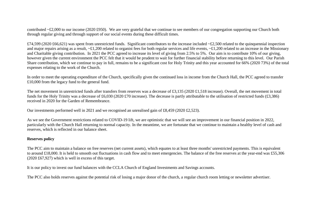contributed  $\sim$ £2,000 to our income (2020 £950). We are very grateful that we continue to see members of our congregation supporting our Church both through regular giving and through support of our social events during these difficult times.

£74,599 (2020 £66,621) was spent from unrestricted funds. Significant contributors to the increase included  $\text{-}£2,500$  related to the quinquennial inspection and major repairs arising as a result,  $\epsilon$ £1,200 related to organist fees for both regular services and life events,  $\epsilon$ £1,200 related to an increase in the Missionary and Charitable giving contribution. In 2021 the PCC agreed to increase its level of giving from 2.5% to 5%. Our aim is to contribute 10% of our giving, however given the current environment the PCC felt that it would be prudent to wait for further financial stability before returning to this level. Our Parish Share contribution, which we continue to pay in full, remains to be a significant cost for Holy Trinity and this year accounted for 66% (2020 73%) of the total expenses relating to the work of the Church.

In order to meet the operating expenditure of the Church, specifically given the continued loss in income from the Church Hall, the PCC agreed to transfer £10,000 from the legacy fund to the general fund.

The net movement in unrestricted funds after transfers from reserves was a decrease of £3,135 (2020 £1,518 increase). Overall, the net movement in total funds for the Holy Trinity was a decrease of £6,030 (2020 £70 increase). The decrease is partly attributable to the utilisation of restricted funds (£3,386) received in 2020 for the Garden of Remembrance.

Our investments performed well in 2021 and we recognised an unrealised gain of £8,459 (2020 £2,523).

As we see the Government restrictions related to COVID-19 lift, we are optimistic that we will see an improvement in our financial position in 2022, particularly with the Church Hall returning to normal capacity. In the meantime, we are fortunate that we continue to maintain a healthy level of cash and reserves, which is reflected in our balance sheet.

## **Reserves policy**

The PCC aim to maintain a balance on free reserves (net current assets), which equates to at least three months' unrestricted payments. This is equivalent to around £18,000. It is held to smooth out fluctuations in cash flow and to meet emergencies. The balance of the free reserves at the year-end was £55,306 (2020 £67,927) which is well in excess of this target.

It is our policy to invest our fund balances with the CCLA Church of England Investments and Savings accounts.

The PCC also holds reserves against the potential risk of losing a major donor of the church, a regular church room letting or newsletter advertiser.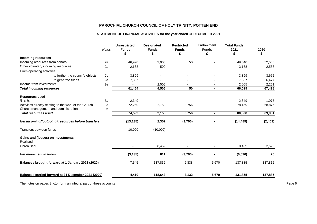## **STATEMENT OF FINANCIAL ACTIVITIES for the year ended 31 DECEMBER 2021**

|                                                        | <b>Notes</b> | <b>Unrestricted</b><br><b>Funds</b><br>£ | <b>Designated</b><br><b>Funds</b><br>£ | <b>Restricted</b><br><b>Funds</b><br>£ | <b>Endowment</b><br><b>Funds</b><br>£ | <b>Total Funds</b><br>2021<br>£ | 2020<br>£ |
|--------------------------------------------------------|--------------|------------------------------------------|----------------------------------------|----------------------------------------|---------------------------------------|---------------------------------|-----------|
| <b>Incoming resources</b>                              |              |                                          |                                        |                                        |                                       |                                 |           |
| Incoming resources from donors                         | 2a           | 46,990                                   | 2,000                                  | 50                                     |                                       | 49,040                          | 52,560    |
| Other voluntary incoming resources                     | 2b           | 2,688                                    | 500                                    |                                        |                                       | 3,188                           | 2,538     |
| From operating activities.                             |              |                                          |                                        |                                        |                                       |                                 |           |
| -to further the council's objects                      | 2c           | 3,899                                    |                                        |                                        |                                       | 3,899                           | 3,672     |
| -to generate funds                                     | 2d           | 7,887                                    |                                        |                                        |                                       | 7,887                           | 6,477     |
| Income from investments                                | 2e           |                                          | 2,005                                  |                                        |                                       | 2,005                           | 2,251     |
| <b>Total incoming resources</b>                        |              | 61,464                                   | 4,505                                  | 50                                     | $\blacksquare$                        | 66,019                          | 67,498    |
| <b>Resources used</b>                                  |              |                                          |                                        |                                        |                                       |                                 |           |
| Grants                                                 | 3a           | 2,349                                    |                                        |                                        |                                       | 2,349                           | 1,075     |
| Activities directly relating to the work of the Church | 3b           | 72,250                                   | 2,153                                  | 3,756                                  |                                       | 78,159                          | 68,876    |
| Church management and administration                   | 3c           | $\overline{a}$                           |                                        |                                        |                                       |                                 |           |
| <b>Total resources used</b>                            |              | 74,599                                   | 2,153                                  | 3,756                                  | $\blacksquare$                        | 80,508                          | 69,951    |
| Net incoming/(outgoing) resources before transfers     |              | (13, 135)                                | 2,352                                  | (3,706)                                |                                       | (14, 489)                       | (2, 453)  |
| Transfers between funds                                |              | 10,000                                   | (10,000)                               |                                        |                                       |                                 |           |
| Gains and (losses) on investments<br>Realised          |              |                                          |                                        |                                        |                                       |                                 |           |
| Unrealised                                             |              |                                          | 8,459                                  |                                        | $\blacksquare$                        | 8,459                           | 2,523     |
| Net movement in funds                                  |              | (3, 135)                                 | 811                                    | (3,706)                                |                                       | (6,030)                         | 70        |
| Balances brought forward at 1 January 2021 (2020)      |              | 7,545                                    | 117,832                                | 6,838                                  | 5,670                                 | 137,885                         | 137,815   |
| Balances carried forward at 31 December 2021 (2020)    |              | 4,410                                    | 118,643                                | 3,132                                  | 5,670                                 | 131,855                         | 137,885   |

The notes on pages 8 to 14 form an integral part of these accounts expression of the secounts Page 6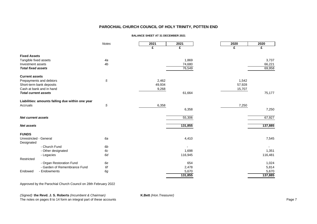#### **BALANCE SHEET AT 31 DECEMBER 2021**

|                                      |                                                  | <b>Notes</b>   | 2021   | 2021    | 2020   | 2020    |
|--------------------------------------|--------------------------------------------------|----------------|--------|---------|--------|---------|
|                                      |                                                  |                | £      | £       | £      | £       |
| <b>Fixed Assets</b>                  |                                                  |                |        |         |        |         |
| Tangible fixed assets                |                                                  | 4a             |        | 1,869   |        | 3,737   |
| Investment assets                    |                                                  | 4b             |        | 74,680  |        | 66,221  |
| <b>Total fixed assets</b>            |                                                  |                |        | 76,549  |        | 69,958  |
| <b>Current assets</b>                |                                                  |                |        |         |        |         |
|                                      | Prepayments and debtors                          | 5              | 2,462  |         | 1,542  |         |
|                                      | Short-term bank deposits                         |                | 49,934 |         | 57,928 |         |
|                                      | Cash at bank and in hand                         |                | 9,268  |         | 15,707 |         |
| <b>Total current assets</b>          |                                                  |                |        | 61,664  |        | 75,177  |
|                                      | Liabilities: amounts falling due within one year |                |        |         |        |         |
| Accruals                             |                                                  | 5              | 6,358  |         | 7,250  |         |
|                                      |                                                  |                |        | 6,358   |        | 7,250   |
| Net current assets                   |                                                  |                |        | 55,306  |        | 67,927  |
| <b>Net assets</b>                    |                                                  |                |        | 131,855 |        | 137,885 |
| <b>FUNDS</b>                         |                                                  |                |        |         |        |         |
| Unrestricted - General<br>Designated |                                                  | 6a             |        | 4,410   |        | 7,545   |
|                                      | - Church Fund                                    | 6b             |        |         |        |         |
|                                      | - Other designated                               | 6с             |        | 1,698   |        | 1,351   |
|                                      | - Legacies                                       | 6d             |        | 116,945 |        | 116,481 |
| Restricted                           |                                                  |                |        |         |        |         |
|                                      | - Organ Restoration Fund                         | 6e             |        | 654     |        | 1,024   |
|                                      | - Garden of Remembrance Fund                     | 6f             |        | 2,478   |        | 5,814   |
| Endowed                              | - Endowments                                     | 6 <sub>g</sub> |        | 5,670   |        | 5,670   |
|                                      |                                                  |                |        | 131,855 |        | 137,885 |

Approved by the Parochial Church Council on 28th February 2022

*(Signed)* **the Revd. J. S. Roberts** *(Incumbent & Chairman)* **K.Bett** *(Hon.Treasurer)*

The notes on pages 8 to 14 form an integral part of these accounts Page 7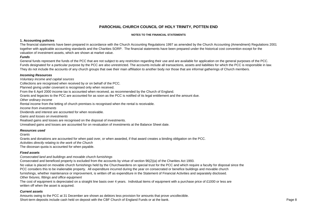#### **NOTES TO THE FINANCIAL STATEMENTS**

#### **1. Accounting policies**

The financial statements have been prepared in accordance with the Church Accounting Regulations 1997 as amended by the Church Accounting (Amendment) Regulations 2001 together with applicable accounting standards and the Charities SORP. The financial statements have been prepared under the historical cost convention except for the valuation of investment assets, which are shown at market value.

## *Funds*

General funds represent the funds of the PCC that are not subject to any restriction regarding their use and are available for application on the general purposes of the PCC. Funds designated for a particular purpose by the PCC are also unrestricted. The accounts include all transactions, assets and liabilities for which the PCC is responsible in law. They do not include the accounts of any church groups that owe their main affiliation to another body nor those that are informal gatherings of Church members.

#### *Incoming Resources*

*Voluntary income and capital sources*

Collections are recognised when received by or on behalf of the PCC.

Planned giving under covenant is recognised only when received.

From the 6 April 2000 income tax is accounted when received, as recommended by the Church of England.

Grants and legacies to the PCC are accounted for as soon as the PCC is notified of its legal entitlement and the amount due.

*Other ordinary income*

Rental income from the letting of church premises is recognised when the rental is receivable.

*Income from investments*

Dividends and interest are accounted for when receivable.

*Gains and losses on investments*

Realised gains and losses are recognised on the disposal of investments.

Unrealised gains and losses are accounted for on revaluation of investments at the Balance Sheet date.

#### *Resources used*

*Grants*

Grants and donations are accounted for when paid over, or when awarded, if that award creates a binding obligation on the PCC. *Activities directly relating to the work of the Church* The diocesan quota is accounted for when payable.

## *Fixed assets*

*Consecrated land and buildings and movable church furnishings*

Consecrated and beneficed property is excluded from the accounts by virtue of section 96(2)(a) of the Charities Act 1993. No value is placed on movable church furnishings held by the Churchwardens on special trust for the PCC and which require a faculty for disposal since the PCC considers this to be inalienable property. All expenditure incurred during the year on consecrated or benefice buildings and movable church furnishings, whether maintenance or improvement, is written off as expenditure in the Statement of Financial Activities and separately disclosed. *Other fixtures, fittings and office equipment*

The cost of equipment is depreciated on a straight line basis over 4 years. Individual items of equipment with a purchase price of £1000 or less are written off when the asset is acquired.

## *Current assets*

Amounts owing to the PCC at 31 December are shown as debtors less provision for amounts that prove uncollectible. Short-term deposits include cash held on deposit with the CBF Church of England Funds or at the bank.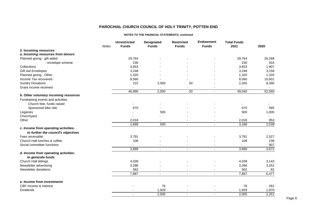#### **NOTES TO THE FINANCIAL STATEMENTS, continued**

|                                                           | <b>Notes</b> | <b>Unrestricted</b><br><b>Funds</b> | <b>Designated</b><br><b>Funds</b> | <b>Restricted</b><br><b>Funds</b> | Endowment<br><b>Funds</b> | <b>Total Funds</b><br>2021 | 2020   |
|-----------------------------------------------------------|--------------|-------------------------------------|-----------------------------------|-----------------------------------|---------------------------|----------------------------|--------|
| 2. Incoming resources                                     |              |                                     |                                   |                                   |                           |                            |        |
| a. Incoming resources from donors                         |              |                                     |                                   |                                   |                           |                            |        |
| Planned giving - gift aided                               |              | 29,764                              |                                   |                                   |                           | 29,764                     | 26,268 |
| - envelope scheme                                         |              | 230                                 |                                   |                                   |                           | 230                        | 916    |
| Collections                                               |              | 3,653                               |                                   |                                   |                           | 3,653                      | 1,907  |
| Gift Aid Envelopes                                        |              | 3,248                               |                                   |                                   |                           | 3,248                      | 3,158  |
| Planned giving - Other                                    |              | 1,320                               |                                   |                                   |                           | 1,320                      | 1,320  |
| Income Tax recovered                                      |              | 8,560                               |                                   |                                   |                           | 8,560                      | 10,601 |
| <b>Sundry Donations</b>                                   |              | 215                                 | 2,000                             | 50                                |                           | 2,265                      | 8,390  |
| Grant income received                                     |              |                                     | $\blacksquare$                    |                                   |                           | $\blacksquare$             | $\sim$ |
|                                                           |              | 46,990                              | 2,000                             | 50                                | $\blacksquare$            | 49,040                     | 52,560 |
| b. Other voluntary incoming resources                     |              |                                     |                                   |                                   |                           |                            |        |
| Fundraising events and activities                         |              |                                     |                                   |                                   |                           |                            |        |
| Church fete, funds raised                                 |              |                                     |                                   |                                   |                           |                            |        |
| Sponsored bike ride                                       |              | 670                                 |                                   |                                   |                           | 670                        | 585    |
| Legacies                                                  |              |                                     | 500                               |                                   |                           | 500                        | 1,000  |
| Churchyard                                                |              |                                     |                                   |                                   |                           |                            | $\sim$ |
| Other                                                     |              | 2,018                               | $\overline{\phantom{a}}$          | $\overline{\phantom{a}}$          | ٠                         | 2,018                      | 953    |
|                                                           |              | 2,688                               | 500                               | $\overline{\phantom{a}}$          | $\overline{\phantom{a}}$  | 3,188                      | 2,538  |
| c. Income from operating activities-                      |              |                                     |                                   |                                   |                           |                            |        |
| to further the council's objectives                       |              |                                     |                                   |                                   |                           |                            |        |
| Fees receivable                                           |              | 3,791                               |                                   |                                   |                           | 3,791                      | 2,527  |
| Church Hall lunches & coffee                              |              | 108                                 |                                   |                                   |                           | 108                        | 238    |
| Social committee functions                                |              |                                     |                                   |                                   |                           |                            | 907    |
|                                                           |              | 3,899                               | $\blacksquare$                    | $\blacksquare$                    | $\sim$                    | 3,899                      | 3,672  |
| d. Income from operating activities-<br>to generate funds |              |                                     |                                   |                                   |                           |                            |        |
| Church Hall lettings                                      |              | 4,039                               |                                   |                                   |                           | 4,039                      | 3,143  |
| Newsletter advertising                                    |              | 3,286                               |                                   |                                   |                           | 3,286                      | 3,252  |
| Newsletter donations                                      |              | 562                                 |                                   |                                   |                           | 562                        | 82     |
|                                                           |              | 7,887                               | $\overline{a}$                    | $\overline{a}$                    | $\overline{a}$            | 7,887                      | 6,477  |
|                                                           |              |                                     |                                   |                                   |                           |                            |        |
| e. Income from investments                                |              |                                     |                                   |                                   |                           |                            |        |
| CBF Income & Interest                                     |              |                                     | 76                                |                                   |                           | 76                         | 281    |
| <b>Dividends</b>                                          |              |                                     | 1,929                             |                                   |                           | 1,929                      | 1,970  |
|                                                           |              |                                     | 2,005                             |                                   |                           | 2,005                      | 2,251  |

Page 9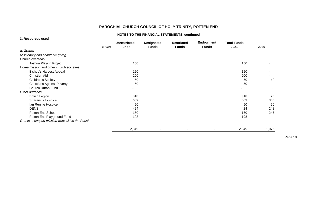## **NOTES TO THE FINANCIAL STATEMENTS, continued**

| 3. Resources used                                |              |                                     |                                   |                                   |                                  |                            |       |
|--------------------------------------------------|--------------|-------------------------------------|-----------------------------------|-----------------------------------|----------------------------------|----------------------------|-------|
|                                                  | <b>Notes</b> | <b>Unrestricted</b><br><b>Funds</b> | <b>Designated</b><br><b>Funds</b> | <b>Restricted</b><br><b>Funds</b> | <b>Endowment</b><br><b>Funds</b> | <b>Total Funds</b><br>2021 | 2020  |
| a. Grants                                        |              |                                     |                                   |                                   |                                  |                            |       |
| Missionary and charitable giving                 |              |                                     |                                   |                                   |                                  |                            |       |
| Church overseas:                                 |              |                                     |                                   |                                   |                                  |                            |       |
| Joshua Playing Project                           |              | 150                                 |                                   |                                   |                                  | 150                        |       |
| Home mission and other church societies          |              |                                     |                                   |                                   |                                  |                            |       |
| <b>Bishop's Harvest Appeal</b>                   |              | 150                                 |                                   |                                   |                                  | 150                        |       |
| <b>Christian Aid</b>                             |              | 200                                 |                                   |                                   |                                  | 200                        |       |
| <b>Children's Society</b>                        |              | 50                                  |                                   |                                   |                                  | 50                         | 40    |
| <b>Christians Against Poverty</b>                |              | 50                                  |                                   |                                   |                                  | 50                         |       |
| Church Urban Fund                                |              |                                     |                                   |                                   |                                  |                            | 60    |
| Other outreach                                   |              |                                     |                                   |                                   |                                  |                            |       |
| <b>British Legion</b>                            |              | 318                                 |                                   |                                   |                                  | 318                        | 75    |
| St Francis Hospice                               |              | 609                                 |                                   |                                   |                                  | 609                        | 355   |
| Ian Rennie Hospice                               |              | 50                                  |                                   |                                   |                                  | 50                         | 50    |
| <b>DENS</b>                                      |              | 424                                 |                                   |                                   |                                  | 424                        | 248   |
| Potten End School                                |              | 150                                 |                                   |                                   |                                  | 150                        | 247   |
| Potten End Playground Fund                       |              | 198                                 |                                   |                                   |                                  | 198                        |       |
| Grants to support mission work within the Parish |              | ٠                                   |                                   |                                   |                                  | ٠                          |       |
|                                                  |              | 2,349                               | -                                 |                                   | ٠                                | 2,349                      | 1,075 |

Page 10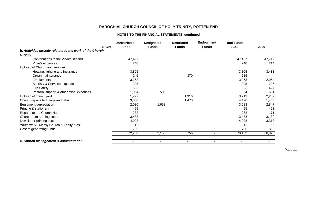## **NOTES TO THE FINANCIAL STATEMENTS, continued**

| <b>Notes</b>                                              | <b>Unrestricted</b><br><b>Funds</b> | <b>Designated</b><br><b>Funds</b> | <b>Restricted</b><br><b>Funds</b> | <b>Endowment</b><br><b>Funds</b> | <b>Total Funds</b><br>2021 | 2020   |
|-----------------------------------------------------------|-------------------------------------|-----------------------------------|-----------------------------------|----------------------------------|----------------------------|--------|
| b. Activities directly relating to the work of the Church |                                     |                                   |                                   |                                  |                            |        |
| Ministry                                                  |                                     |                                   |                                   |                                  |                            |        |
| Contributions to the Vicar's stipend                      | 47,497                              |                                   |                                   |                                  | 47,497                     | 47,712 |
| Vicar's expenses                                          | 240                                 |                                   |                                   |                                  | 240                        | 214    |
| Upkeep of Church and services:                            |                                     |                                   |                                   |                                  |                            |        |
| Heating, lighting and insurance                           | 3,805                               |                                   |                                   |                                  | 3,805                      | 3,431  |
| Organ maintenance                                         | 246                                 |                                   | 370                               |                                  | 616                        |        |
| <b>Emoluments</b>                                         | 3,263                               |                                   |                                   |                                  | 3,263                      | 2,064  |
| Sacristy & Services expenses                              | 395                                 |                                   |                                   |                                  | 395                        | 226    |
| <b>Fire Safety</b>                                        | 353                                 |                                   |                                   |                                  | 353                        | 427    |
| Pastoral support & other misc. expenses                   | 1,064                               | 500                               |                                   |                                  | 1,564                      | 661    |
| Upkeep of churchyard                                      | 1,297                               |                                   | 1,916                             |                                  | 3,213                      | 2,289  |
| Church repairs to fittings and fabric                     | 3,000                               |                                   | 1,470                             |                                  | 4,470                      | 1,480  |
| Equipment depreciation                                    | 2,030                               | 1,653                             |                                   |                                  | 3,683                      | 2,847  |
| Printing & stationery                                     | 455                                 |                                   |                                   |                                  | 455                        | 463    |
| Repairs to the Church Hall                                | 282                                 |                                   |                                   |                                  | 282                        | 171    |
| Churchroom running costs                                  | 3,488                               |                                   |                                   |                                  | 3,488                      | 3,130  |
| Newsletter printing costs                                 | 4,028                               |                                   |                                   |                                  | 4,028                      | 3,313  |
| Youth work - Messy Church & Trinity Kids                  | 12                                  |                                   |                                   |                                  | 12                         | 56     |
| Cost of generating funds                                  | 795                                 |                                   |                                   |                                  | 795                        | 392    |
|                                                           | 72,250                              | 2,153                             | 3,756                             |                                  | 78,159                     | 68,876 |
| c. Church management & administration                     | $\sim$                              | $\overline{\phantom{a}}$          | $\overline{\phantom{a}}$          | $\blacksquare$                   | $\blacksquare$             |        |

Page 11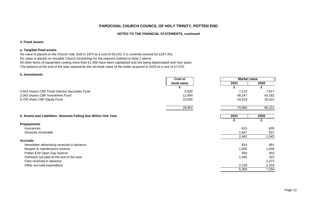#### **NOTES TO THE FINANCIAL STATEMENTS, continued**

#### **4. Fixed Assets**

#### **a.** *Tangible fixed assets*

No value is placed on the Church Hall, built in 1974 at a cost of £9,243. It is currently insured for £247,451. No value is placed on movable Church furnishings for the reasons outlined in Note 1 above. All other items of equipment costing more than £1,000 have been capitalised and are being depreciated over four years. The balance at the end of the year represents the net book value of the boiler acquired in 2019 at a cost of £7,475.

#### **b.** *Investments*

|                                                                | Cost or    | <b>Market value</b> |        |
|----------------------------------------------------------------|------------|---------------------|--------|
|                                                                | book value | 2021                | 2020   |
|                                                                | £          | £                   | £      |
| 4,503 shares CBF Fixed Interest Securities Fund                | 6,500      | 7,114               | 7,617  |
| 2,063 shares CBF Investment Fund                               | 12,454     | 48,247              | 42,182 |
| 8,700 share CBF Equity Fund                                    | 10,000     | 19,319              | 16,422 |
|                                                                | 28,954     | 74,680              | 66,221 |
| 5. Assets and Liabilities: Amounts Falling due Within One Year |            | 2021                | 2020   |
|                                                                |            | £                   | £      |
| <b>Prepayments</b>                                             |            |                     |        |
| Insurances                                                     |            | 615                 | 605    |
| Amounts receivable                                             |            | 1,847               | 937    |
|                                                                |            | 2,462               | 1,542  |
| <b>Accruals</b>                                                |            |                     |        |
| Newsletter advertising received in advance                     |            | 824                 | 891    |
| Repairs & maintenance reserve                                  |            | 1,000               | 1,000  |
| Potten End Open Day reserve                                    |            | 450                 | 450    |
| Outreach not paid at the end of the year                       |            | 1,926               | 332    |
| Fees received in advance                                       |            |                     | 2,373  |
| Other accrued expenditure                                      |            | 2,158               | 2,204  |
|                                                                |            | 6,358               | 7,250  |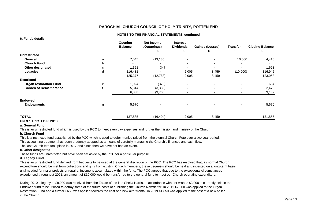#### **NOTES TO THE FINANCIAL STATEMENTS, continued**

| o. Funds details              |   |                           |                                  |                                     |                          |                          |                        |
|-------------------------------|---|---------------------------|----------------------------------|-------------------------------------|--------------------------|--------------------------|------------------------|
|                               |   | Opening<br><b>Balance</b> | <b>Net Income</b><br>/Outgoings) | <b>Interest</b><br><b>Dividends</b> | Gains / (Losses)         | <b>Transfer</b>          | <b>Closing Balance</b> |
|                               |   | £                         | £                                | £                                   |                          | £                        | £                      |
| <b>Unrestricted</b>           |   |                           |                                  |                                     |                          |                          |                        |
| General                       | a | 7,545                     | (13, 135)                        | ٠                                   | ٠                        | 10,000                   | 4,410                  |
| <b>Church Fund</b>            | b |                           |                                  | $\overline{\phantom{0}}$            | ٠                        |                          |                        |
| Other designated              | c | 1,351                     | 347                              |                                     | $\overline{\phantom{0}}$ |                          | 1,698                  |
| Legacies                      | d | 116,481                   |                                  | 2,005                               | 8,459                    | (10,000)                 | 116,945                |
|                               |   | 125,377                   | (12,788)                         | 2,005                               | 8,459                    | $\overline{\phantom{0}}$ | 123,053                |
| <b>Restricted</b>             |   |                           |                                  |                                     |                          |                          |                        |
| <b>Organ restoration Fund</b> | е | 1,024                     | (370)                            | $\blacksquare$                      | ۰                        |                          | 654                    |
| <b>Garden of Remembrance</b>  |   | 5,814                     | (3,336)                          | ٠                                   | ۰.                       | ۰.                       | 2,478                  |
|                               |   | 6,838                     | (3,706)                          | ٠                                   | ٠                        | ٠                        | 3,132                  |
| <b>Endowed</b>                |   |                           |                                  |                                     |                          |                          |                        |
| <b>Endowments</b>             | g | 5,670                     |                                  |                                     | ۰                        |                          | 5,670                  |
|                               |   |                           |                                  |                                     |                          |                          |                        |
| <b>TOTAL</b>                  |   | 137,885                   | (16, 494)                        | 2,005                               | 8,459                    |                          | 131,855                |

## **UNRESTRICTED FUNDS**

#### **a. General Fund**

**6. Funds details**

This is an unrestricted fund which is used by the PCC to meet everyday expenses and further the mission and ministry of the Church

#### **b. Church Fund**

This is a restricted fund established by the PCC which is used to defer monies raised from the biennial Church Fete over a two year period. This accounting treatment has been prudently adopted as a means of carefully managing the Church's finances and cash flow. The last Church fete took place in 2017 and since then we have not had an event.

#### **c. Other designated**

These funds are unrestricted but have been set aside by the PCC for a particular purpose.

#### **d. Legacy Fund**

This is an unrestricted fund derived from bequests to be used at the general discretion of the PCC. The PCC has resolved that, as normal Church expenditure should be met from collections and gifts from existing Church members, these bequests should be held and invested on a long-term basis until needed for major projects or repairs. Income is accumulated within the fund. The PCC agreed that due to the exceptional circumstances experienced throughout 2021, an amount of £10,000 would be transferred to the general fund to meet our Church operating expenditure.

During 2010 a legacy of £8,000 was received from the Estate of the late Sheila Harris. In accordance with her wishes £3,000 is currently held in the Endowed fund to be utilised to defray some of the future costs of publishing the Church Newsletter. In 2011 £2,500 was applied to the Organ Restoration Fund and a further £650 was applied towards the cost of a new altar frontal; in 2019 £1,850 was applied to the cost of a new boiler in the Church.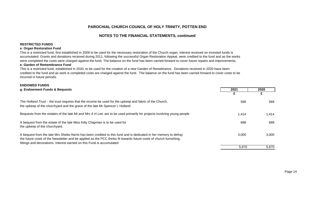## **NOTES TO THE FINANCIAL STATEMENTS, continued**

#### **RESTRICTED FUNDS**

#### **e. Organ Restoration Fund**

This is a restricted fund, first established in 2009 to be used for the necessary restoration of the Church organ; interest received on invested funds is accumulated. Grants and donations received during 2011, following the successful Organ Restoration Appeal, were credited to the fund and as the works were completed the costs were charged against the fund. The balance on the fund has been carried forward to cover future repairs and improvements.

#### **e. Garden of Remembrance Fund**

This is a restricted fund, established in 2020, to be used for the creation of a new Garden of Remebrance. Donations received in 2020 have been credited to the fund and as work is completed costs are charged against the fund. The balance on the fund has been carried forward to cover costs to be incurred in future periods.

| <b>ENDOWED FUNDS</b>                                                                                                                                                                                                                                                                                             |       |       |
|------------------------------------------------------------------------------------------------------------------------------------------------------------------------------------------------------------------------------------------------------------------------------------------------------------------|-------|-------|
| g. Endowment Funds & Bequests                                                                                                                                                                                                                                                                                    | 2021  | 2020  |
|                                                                                                                                                                                                                                                                                                                  |       |       |
| The Holland Trust - the trust requires that the income be used for the upkeep and fabric of the Church,<br>the upkeep of the churchyard and the grave of the late Mr Spencer L Holland                                                                                                                           | 568   | 568   |
| Bequests from the estates of the late Mr and Mrs A H Lee are to be used primarily for projects involving young people                                                                                                                                                                                            | 1.414 | 1,414 |
| A bequest from the estate of the late Miss Kitty Chapman is to be used for<br>the upkeep of the churchyard.                                                                                                                                                                                                      | 688   | 688   |
| A bequest from the late Mrs Sheila Harris has been credited to this fund and is dedicated in her memory to defray<br>the future costs of the Newsletter and be applied as the PCC thinks fit towards future costs of church furnishing,<br>fittings and decorations. Interest earned on this Fund is accumulated | 3.000 | 3,000 |
|                                                                                                                                                                                                                                                                                                                  | 5,670 | 5,670 |